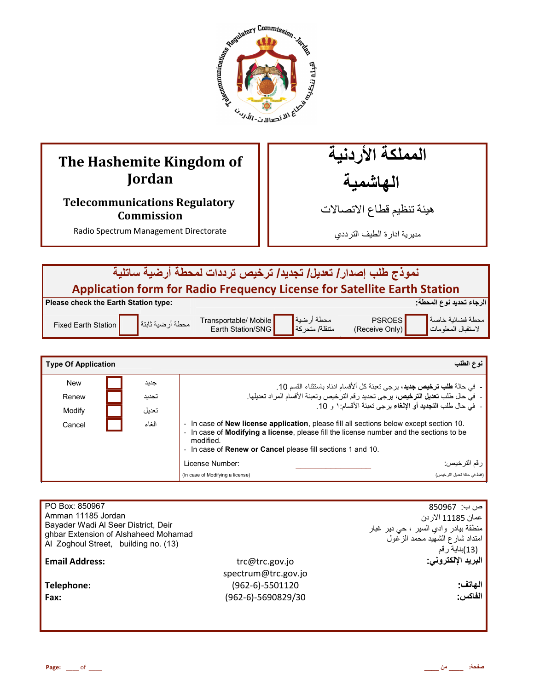

## **The Hashemite Kingdom of Jordan**

### **Telecommunications Regulatory Commission**

Radio Spectrum Management Directorate

المملكة الأردنية الـهاشْمية

هيئة تنظيم قطاع الاتصـالات

مديرية ادارة الطيف الترددي

|                                      | نموذج طلب إصدار / تعديل/ تجديد/ ترخيص ترددات لمحطة أرضية ساتلية          |                                            |                              |                                 |                                                       |  |
|--------------------------------------|--------------------------------------------------------------------------|--------------------------------------------|------------------------------|---------------------------------|-------------------------------------------------------|--|
|                                      | Application form for Radio Frequency License for Satellite Earth Station |                                            |                              |                                 |                                                       |  |
| Please check the Earth Station type: |                                                                          |                                            |                              |                                 | الرجاء تحديد نوع المحطة:                              |  |
| Fixed Earth Station                  | محطة أرضية ثابتة <mark>.</mark>                                          | Transportable/ Mobile<br>Earth Station/SNG | محطة أرضية<br>متنقلة/ متحركة | <b>PSROES</b><br>(Receive Only) | محطة فضائية خاصة <mark>.</mark><br>لاستقبال المعلومات |  |
|                                      |                                                                          |                                            |                              |                                 |                                                       |  |

| <b>New</b><br>جديد<br>- في حالة <b>طلب ترخيص جديد</b> ، يرجى تعبئة كل ألأقسام ادناه باستثناء القسم 10.<br>-   في حال طلب <b>تعديل الترخيص،</b> يرجى تحديد رقم الترخيص وتعبئة الأقسام المراد تعديلها.<br>تجديد<br>Renew<br>-  في حال طلب ا <b>لتجديد</b> أو الإ <b>لغ</b> اء يرجى تعبئة الأقسام: ١ و 10.<br>تعدبل<br>Modify<br>- In case of <b>New license application</b> , please fill all sections below except section 10.<br>الغاء<br>Cancel<br>- In case of Modifying a license, please fill the license number and the sections to be<br>modified<br>- In case of <b>Renew or Cancel</b> please fill sections 1 and 10.<br>License Number:<br>, رقم الترخيص: | <b>Type Of Application</b> | نوع الطلب                                                        |
|--------------------------------------------------------------------------------------------------------------------------------------------------------------------------------------------------------------------------------------------------------------------------------------------------------------------------------------------------------------------------------------------------------------------------------------------------------------------------------------------------------------------------------------------------------------------------------------------------------------------------------------------------------------------|----------------------------|------------------------------------------------------------------|
|                                                                                                                                                                                                                                                                                                                                                                                                                                                                                                                                                                                                                                                                    |                            | (فقط في حالة تحديل التر خيص)<br>(In case of Modifying a license) |

| PO Box: 850967<br>Amman 11185 Jordan<br>Bayader Wadi Al Seer District, Deir<br>ghbar Extension of Alshaheed Mohamad<br>Al Zoghoul Street, building no. (13) |                     | ص ب:  850967<br>عمان 11185 الار دن<br>منطقة بيادر وادي السير ، حي دير غبار<br>امتداد شارع الشهيد محمد الزغول<br>(13)بناية رقم |
|-------------------------------------------------------------------------------------------------------------------------------------------------------------|---------------------|-------------------------------------------------------------------------------------------------------------------------------|
| <b>Email Address:</b>                                                                                                                                       | trc@trc.gov.jo      | البريد الإلكتروني:                                                                                                            |
|                                                                                                                                                             | spectrum@trc.gov.jo |                                                                                                                               |
| Telephone:                                                                                                                                                  | $(962-6)-5501120$   | الهاتف:                                                                                                                       |
| Fax:                                                                                                                                                        | (962-6)-5690829/30  | الفاكس:                                                                                                                       |
|                                                                                                                                                             |                     |                                                                                                                               |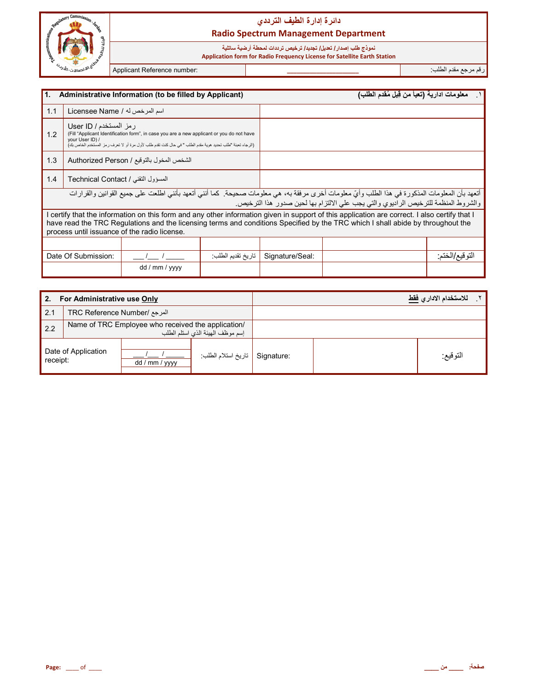

### نموذج طلب إصدار / تعديل/ تجديد/ ترخيص ترددات لمحطة أرضية ساتلية

 **Application form for Radio Frequency License for Satellite Earth Station**

رFم رnA +دم اط\*ب: **\_\_\_\_\_\_\_\_\_\_\_\_\_\_\_\_\_\_\_\_\_\_** :number Reference Applicant

| l1.<br>Administrative Information (to be filled by Applicant)                                                                                                                                                                                                                                                                    |                                            |                                                                                                                                                                                                        |                   | معلومات ادارية (تعبأ من قِبل مُقدم الطلب)                                          |  |                  |
|----------------------------------------------------------------------------------------------------------------------------------------------------------------------------------------------------------------------------------------------------------------------------------------------------------------------------------|--------------------------------------------|--------------------------------------------------------------------------------------------------------------------------------------------------------------------------------------------------------|-------------------|------------------------------------------------------------------------------------|--|------------------|
| 1.1                                                                                                                                                                                                                                                                                                                              | اسم المرخص له / Licensee Name              |                                                                                                                                                                                                        |                   |                                                                                    |  |                  |
| 1.2                                                                                                                                                                                                                                                                                                                              | ر مز المستخدم / User ID<br>your User ID) / | (Fill "Applicant Identification form", in case you are a new applicant or you do not have<br>(الرجاء تعبئة "طلب تحديد هوية مقدم الطلب " في حال كنت تقدم طلب لأول مرة أو لا تعرف رمز المستخدم الخاص بك) |                   |                                                                                    |  |                  |
| 1.3                                                                                                                                                                                                                                                                                                                              |                                            | الشخص المخول بالتوقيع / Authorized Person                                                                                                                                                              |                   |                                                                                    |  |                  |
| 1.4                                                                                                                                                                                                                                                                                                                              | المسؤول التقني / Technical Contact         |                                                                                                                                                                                                        |                   |                                                                                    |  |                  |
| أتعهد بأن المعلومات المذكورة في هذا الطلب وأيّ معلومات أخرى مرفقة به، هي معلومات صحيحة. كما أنني أتعهد بأنني اطلعت على جميع القوانين والقرارات                                                                                                                                                                                   |                                            |                                                                                                                                                                                                        |                   | والشروط المنظمة للترخيص الراديوي والتي يجب على الالتزام بها لحين صدور هذا الترخيص. |  |                  |
| I certify that the information on this form and any other information given in support of this application are correct. I also certify that I<br>have read the TRC Regulations and the licensing terms and conditions Specified by the TRC which I shall abide by throughout the<br>process until issuance of the radio license. |                                            |                                                                                                                                                                                                        |                   |                                                                                    |  |                  |
|                                                                                                                                                                                                                                                                                                                                  |                                            |                                                                                                                                                                                                        |                   |                                                                                    |  |                  |
|                                                                                                                                                                                                                                                                                                                                  | Date Of Submission:                        |                                                                                                                                                                                                        | تاريخ تقديم الطلب | Signature/Seal:                                                                    |  | النّو فيع/الختم: |
|                                                                                                                                                                                                                                                                                                                                  |                                            | dd / mm / yyyy                                                                                                                                                                                         |                   |                                                                                    |  |                  |

| 2.       | For Administrative use Only  |                                                    |                                   |            | للاستخدام الادار يفقط |
|----------|------------------------------|----------------------------------------------------|-----------------------------------|------------|-----------------------|
| 2.1      | المرجع /TRC Reference Number |                                                    |                                   |            |                       |
| 2.2      |                              | Name of TRC Employee who received the application/ | إسم موظف المهيئة الذى استلم الطلب |            |                       |
| receipt: | Date of Application          | dd / mm / yyyy                                     | تاريخ استلام الطلب:               | Signature: | التوقيع:              |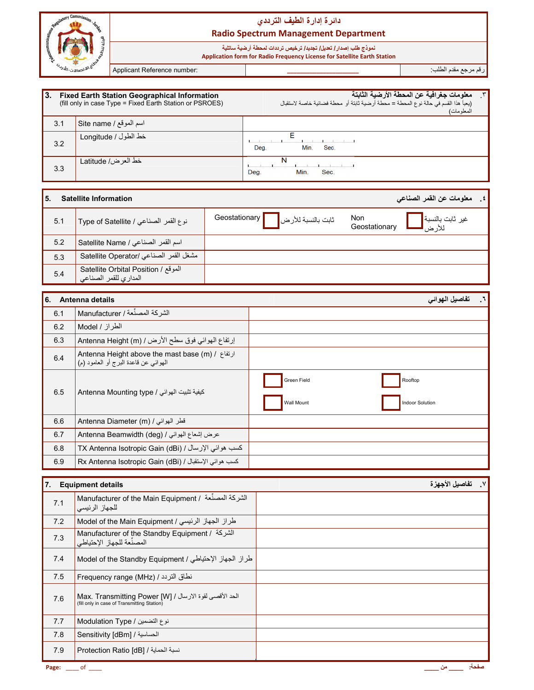

# نموذج طلب إصدار/ تعليل/ تجليد/ ترخيص ترلدات لمحطة أرضية ساتلية<br>Application form for Radio Frequency License for Satellite Earth Station

Applicant Reference number:

رقم مرجع مقدم الطلب:

| <b>3.</b> | <b>Fixed Earth Station Geographical Information</b><br>(fill only in case Type = Fixed Earth Station or PSROES) | ٢__ معلومات جغرافية عن المحطة الأرضية الثابتة_<br>.<br>(يعبأ هذا القسم في حالة نوع المحطة = محطة أرضية ثابتة أو  محطة فضائية خاصـة لاستقبال<br>المعلومات) |
|-----------|-----------------------------------------------------------------------------------------------------------------|-----------------------------------------------------------------------------------------------------------------------------------------------------------|
| 3.1       | اسم الموقع / Site name                                                                                          |                                                                                                                                                           |
| 3.2       | خط الطول / Longitude                                                                                            | Min.<br>Deg.<br>Sec.                                                                                                                                      |
| 3.3       | ٰ خط العر ض/ Latitude                                                                                           | N<br>Min.<br>Sec.<br>Deg.                                                                                                                                 |

| . 5. | <b>Satellite Information</b>                                 |                                                      | ٤ .     معلومات عن الفمر الصناعي                                         |
|------|--------------------------------------------------------------|------------------------------------------------------|--------------------------------------------------------------------------|
| 5.1  | نوع القمر الصناعي / Type of Satellite ا                      | Geostationary  <br>ثابت بالنسبة للأرض <mark>.</mark> | <b>Non</b><br>غير ثابت بالنسبة <mark>.</mark><br>للأر ض<br>Geostationary |
| 5.2  | اسم القمر الصناعي / Satellite Name ا                         |                                                      |                                                                          |
| 5.3  | مشغل القمر الصناعي /Satellite Operator                       |                                                      |                                                                          |
| 5.4  | الموقع / Satellite Orbital Position<br>المداري للقمر الصناعي |                                                      |                                                                          |

| l 6. | Antenna details                                                                             |                           | تفاصيل الهوائي             |
|------|---------------------------------------------------------------------------------------------|---------------------------|----------------------------|
| 6.1  | الشركة المصنِّعة / Manufacturer                                                             |                           |                            |
| 6.2  | الطراز / Model                                                                              |                           |                            |
| 6.3  | إرتفاع الهوائي فوق سطح الأرض / (Antenna Height (m                                           |                           |                            |
| 6.4  | Antenna Height above the mast base (m) / ارتفاع /<br>المهوائي عن قاعدة البرج أو العامود (م) |                           |                            |
| 6.5  | Antenna Mounting type / كيفية تثبيت الهوائي                                                 | Green Field<br>Wall Mount | Rooftop<br>Indoor Solution |
| 6.6  | Antenna Diameter (m) / فطر الهوائي                                                          |                           |                            |
| 6.7  | Antenna Beamwidth (deg) / عرض إشعاع الهوائي                                                 |                           |                            |
| 6.8  | TX Antenna Isotropic Gain (dBi) / كسب هوائي الإرسال                                         |                           |                            |
| 6.9  | كسب هوائي الإستقبال / Rx Antenna Isotropic Gain (dBi)                                       |                           |                            |

| 7.  | <b>Equipment details</b>                                                                              | ٧__ تفاصيل الأجهز ة |
|-----|-------------------------------------------------------------------------------------------------------|---------------------|
| 7.1 | الشركة المصنِّعة / Manufacturer of the Main Equipment<br>للجهاز الرئبسي                               |                     |
| 7.2 | طراز الجهاز الرئيسي / Model of the Main Equipment                                                     |                     |
| 7.3 | Manufacturer of the Standby Equipment / الشركة /<br>المصنِّعة للجهاز الإحتياطي                        |                     |
| 7.4 | طراز الجهاز الإحتياطي / Model of the Standby Equipment                                                |                     |
| 7.5 | نطاق التردد / (MHz) Frequency range                                                                   |                     |
| 7.6 | الحد الأقصى لقوة الارسال / Max. Transmitting Power [W]<br>(fill only in case of Transmitting Station) |                     |
| 7.7 | نوع التضمين / Modulation Type                                                                         |                     |
| 7.8 | الحساسية / Sensitivity [dBm]                                                                          |                     |
| 7.9 | نسبة الحماية / Protection Ratio [dB]                                                                  |                     |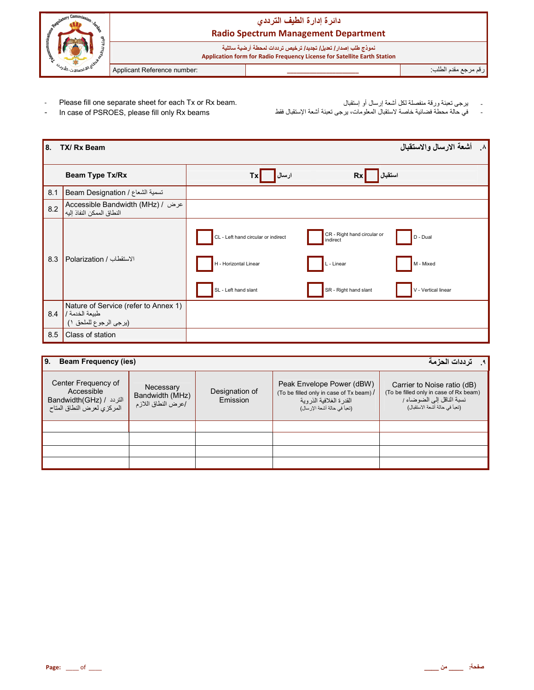

Please fill one separate sheet for each Tx or Rx beam.  $\overline{a}$ 

- In case of PSROES, please fill only Rx beams  $\overline{a}$
- يرجى تعبئة ورقة منفصلة لكل أشعة إرسال أو إستقبال<br>في حالة محطة فضانية خاصة لاستقبال المعلومات، يرجى تعبئة أشعة الإستقبال فقط

| l8. | TX/ Rx Beam                                                                      |                                                                                      |                                                                                | ٨_ أشعة الارسال والاستقبال                   |
|-----|----------------------------------------------------------------------------------|--------------------------------------------------------------------------------------|--------------------------------------------------------------------------------|----------------------------------------------|
|     | Beam Type Tx/Rx                                                                  | ارسال<br>Txl                                                                         | استقبال<br>Rx                                                                  |                                              |
| 8.1 | Beam Designation / تسمية الشعاع                                                  |                                                                                      |                                                                                |                                              |
| 8.2 | عرض / Accessible Bandwidth (MHz)<br>النطاق الممكن النفاذ إليه                    |                                                                                      |                                                                                |                                              |
| 8.3 | الاستقطاب / Polarization                                                         | CL - Left hand circular or indirect<br>H - Horizontal Linear<br>SL - Left hand slant | CR - Right hand circular or<br>indirect<br>L - Linear<br>SR - Right hand slant | D - Dual<br>M - Mixed<br>V - Vertical linear |
| 8.4 | Nature of Service (refer to Annex 1)<br>طبيعة الخدمة /<br>(يرجى الرجوع للملحق ١) |                                                                                      |                                                                                |                                              |
| 8.5 | Class of station                                                                 |                                                                                      |                                                                                |                                              |

| <b>Beam Frequency (ies)</b><br>ر ترددات الحزمة<br>I9.                                      |                                                     |                            |                                                                                                                                    |                                                                                                                                     |
|--------------------------------------------------------------------------------------------|-----------------------------------------------------|----------------------------|------------------------------------------------------------------------------------------------------------------------------------|-------------------------------------------------------------------------------------------------------------------------------------|
| Center Frequency of<br>Accessible<br>التردد / (Bandwidth(GHz<br>المركزي لعرض النطاق المتاح | Necessary<br>Bandwidth (MHz)<br>/عرض النطاق اللاز م | Designation of<br>Emission | Peak Envelope Power (dBW)<br>(To be filled only in case of Tx beam) /<br>القدر ة الغلافية الذر وبة<br>(تعبأ في حالة أشعة الإر سال) | Carrier to Noise ratio (dB)<br>(To be filled only in case of Rx beam)<br>نسبة الناقل إلى الضوضاء /<br>(تعبأ في حالة أشعة الاستقبال) |
|                                                                                            |                                                     |                            |                                                                                                                                    |                                                                                                                                     |
|                                                                                            |                                                     |                            |                                                                                                                                    |                                                                                                                                     |
|                                                                                            |                                                     |                            |                                                                                                                                    |                                                                                                                                     |
|                                                                                            |                                                     |                            |                                                                                                                                    |                                                                                                                                     |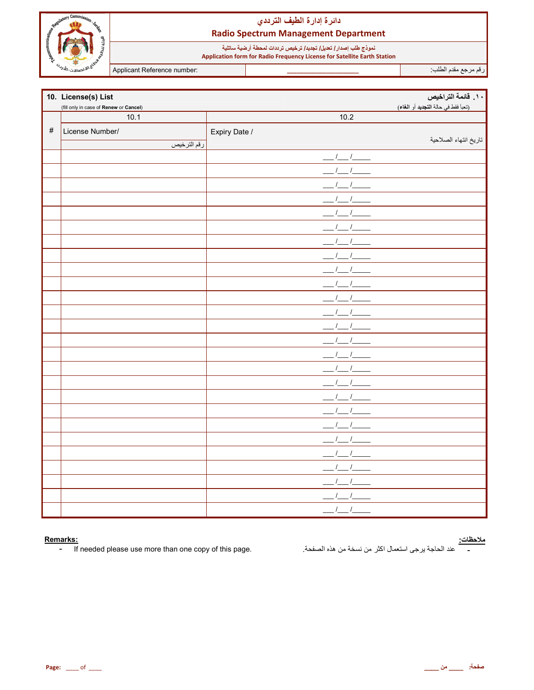

نموذج طلب إصدار/ تعليل/ تجليد/ ترخيص ترلدات لمحطة أرضية ساتلية<br>Application form for Radio Frequency License for Satellite Earth Station

Applicant Reference number:

رقم مرجع مقدم الطلب

|      | 10. License(s) List                    |               | ١٠. قائمة التراخيص                  |
|------|----------------------------------------|---------------|-------------------------------------|
|      | (fill only in case of Renew or Cancel) |               | (تعبأ فقط في حالة التجديد أو الغاء) |
|      | 10.1                                   | 10.2          |                                     |
| $\#$ | License Number/                        | Expiry Date / |                                     |
|      | رقم الترخيص                            |               | تاريخ انتهاء الصلاحية               |
|      |                                        | $\frac{1}{2}$ |                                     |
|      |                                        |               |                                     |
|      |                                        |               |                                     |
|      |                                        |               |                                     |
|      |                                        |               |                                     |
|      |                                        |               |                                     |
|      |                                        |               |                                     |
|      |                                        |               |                                     |
|      |                                        |               |                                     |
|      |                                        |               |                                     |
|      |                                        |               |                                     |
|      |                                        |               |                                     |
|      |                                        |               |                                     |
|      |                                        |               |                                     |
|      |                                        |               |                                     |
|      |                                        |               |                                     |
|      |                                        |               |                                     |
|      |                                        |               |                                     |
|      |                                        |               |                                     |
|      |                                        |               |                                     |
|      |                                        |               |                                     |
|      |                                        |               |                                     |
|      |                                        |               |                                     |
|      |                                        |               |                                     |
|      |                                        |               |                                     |
|      |                                        | $\prime$      |                                     |

#### Remarks:

If needed please use more than one copy of this page.  $\pm$  .